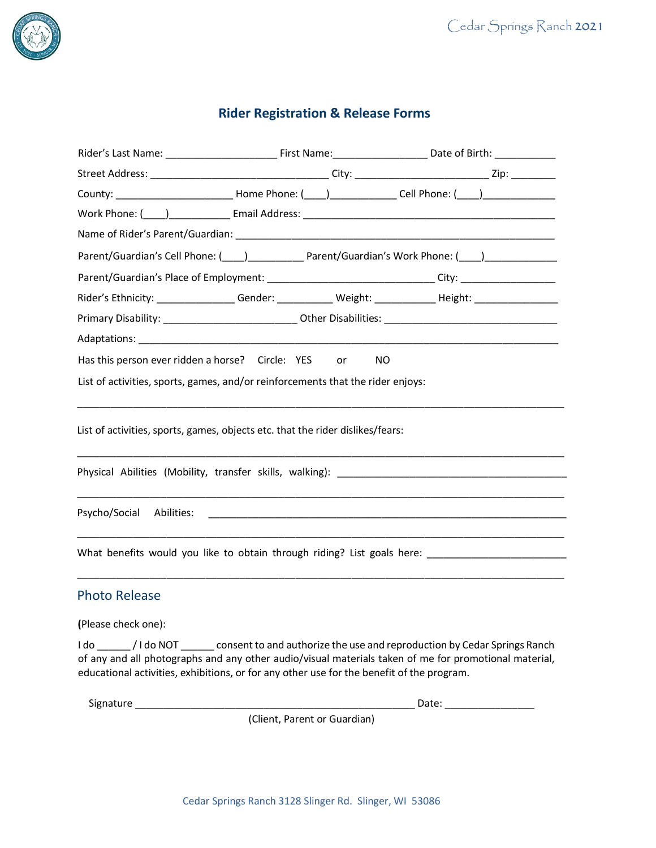

# **Rider Registration & Release Forms**

| County: _______________________________Home Phone: (____)________________Cell Phone: (____)______________                                                                                                                      |                                                                                                                |     |  |
|--------------------------------------------------------------------------------------------------------------------------------------------------------------------------------------------------------------------------------|----------------------------------------------------------------------------------------------------------------|-----|--|
| Work Phone: (\bud_) \budget_communicational Address: \budget_communications = Email Address: \budget_communications = \budgetQuark Phone: (\budgetQuark Phone: \budgetQuark Phone: \budgetQuark Phone: \budgetQuark Phone: \bu |                                                                                                                |     |  |
|                                                                                                                                                                                                                                |                                                                                                                |     |  |
| Parent/Guardian's Cell Phone: (1992) [2012] Parent/Guardian's Work Phone: (2013)                                                                                                                                               |                                                                                                                |     |  |
| Parent/Guardian's Place of Employment: ________________________________City: _______________________                                                                                                                           |                                                                                                                |     |  |
| Rider's Ethnicity: ________________Gender: ____________ Weight: _____________Height: _______________                                                                                                                           |                                                                                                                |     |  |
|                                                                                                                                                                                                                                |                                                                                                                |     |  |
|                                                                                                                                                                                                                                |                                                                                                                |     |  |
| Has this person ever ridden a horse? Circle: YES                                                                                                                                                                               | or the control of the control of the control of the control of the control of the control of the control of th | NO. |  |
| List of activities, sports, games, and/or reinforcements that the rider enjoys:                                                                                                                                                |                                                                                                                |     |  |
|                                                                                                                                                                                                                                |                                                                                                                |     |  |
| List of activities, sports, games, objects etc. that the rider dislikes/fears:                                                                                                                                                 |                                                                                                                |     |  |
|                                                                                                                                                                                                                                |                                                                                                                |     |  |
|                                                                                                                                                                                                                                |                                                                                                                |     |  |
|                                                                                                                                                                                                                                |                                                                                                                |     |  |
|                                                                                                                                                                                                                                |                                                                                                                |     |  |
|                                                                                                                                                                                                                                |                                                                                                                |     |  |
| What benefits would you like to obtain through riding? List goals here:                                                                                                                                                        |                                                                                                                |     |  |
|                                                                                                                                                                                                                                |                                                                                                                |     |  |
| <b>Photo Release</b>                                                                                                                                                                                                           |                                                                                                                |     |  |

**(**Please check one):

I do \_\_\_\_\_\_ / I do NOT \_\_\_\_\_\_ consent to and authorize the use and reproduction by Cedar Springs Ranch of any and all photographs and any other audio/visual materials taken of me for promotional material, educational activities, exhibitions, or for any other use for the benefit of the program.

Signature \_\_\_\_\_\_\_\_\_\_\_\_\_\_\_\_\_\_\_\_\_\_\_\_\_\_\_\_\_\_\_\_\_\_\_\_\_\_\_\_\_\_\_\_\_\_\_\_\_\_ Date: \_\_\_\_\_\_\_\_\_\_\_\_\_\_\_\_

(Client, Parent or Guardian)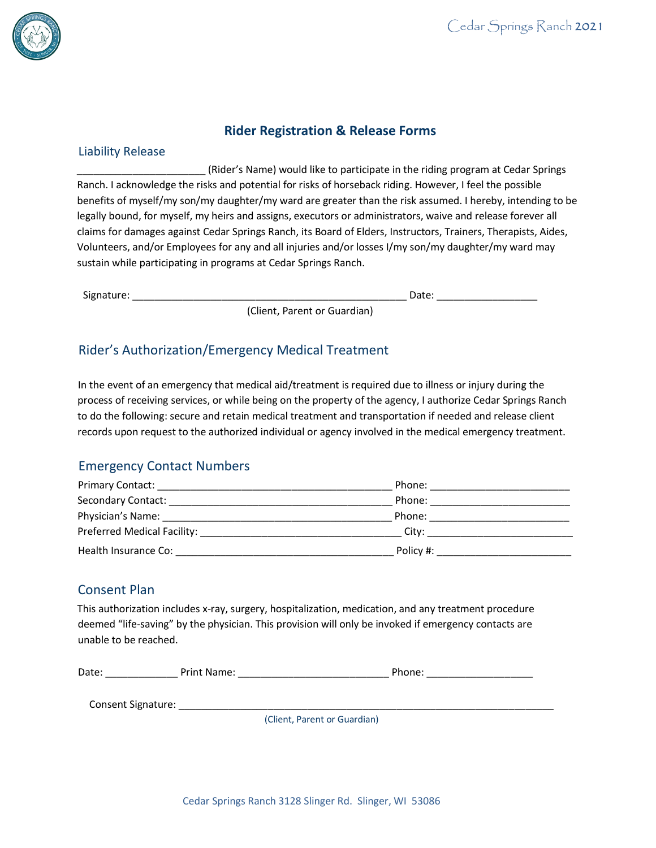

# **Rider Registration & Release Forms**

#### Liability Release

\_\_\_\_\_\_\_\_\_\_\_\_\_\_\_\_\_\_\_\_\_\_\_ (Rider's Name) would like to participate in the riding program at Cedar Springs Ranch. I acknowledge the risks and potential for risks of horseback riding. However, I feel the possible benefits of myself/my son/my daughter/my ward are greater than the risk assumed. I hereby, intending to be legally bound, for myself, my heirs and assigns, executors or administrators, waive and release forever all claims for damages against Cedar Springs Ranch, its Board of Elders, Instructors, Trainers, Therapists, Aides, Volunteers, and/or Employees for any and all injuries and/or losses I/my son/my daughter/my ward may sustain while participating in programs at Cedar Springs Ranch.

Signature: \_\_\_\_\_\_\_\_\_\_\_\_\_\_\_\_\_\_\_\_\_\_\_\_\_\_\_\_\_\_\_\_\_\_\_\_\_\_\_\_\_\_\_\_\_\_\_\_\_ Date: \_\_\_\_\_\_\_\_\_\_\_\_\_\_\_\_\_\_

(Client, Parent or Guardian)

## Rider's Authorization/Emergency Medical Treatment

In the event of an emergency that medical aid/treatment is required due to illness or injury during the process of receiving services, or while being on the property of the agency, I authorize Cedar Springs Ranch to do the following: secure and retain medical treatment and transportation if needed and release client records upon request to the authorized individual or agency involved in the medical emergency treatment.

## Emergency Contact Numbers

| <b>Primary Contact:</b><br><u> 1980 - Jan Stein Harry Harry Harry Harry Harry Harry Harry Harry Harry Harry Harry Harry Harry Harry Harry H</u> | Phone:    |
|-------------------------------------------------------------------------------------------------------------------------------------------------|-----------|
| Secondary Contact:                                                                                                                              | Phone:    |
| Physician's Name:                                                                                                                               | Phone:    |
| Preferred Medical Facility: Network and Services                                                                                                | City:     |
| Health Insurance Co:                                                                                                                            | Policy #: |

### Consent Plan

This authorization includes x-ray, surgery, hospitalization, medication, and any treatment procedure deemed "life-saving" by the physician. This provision will only be invoked if emergency contacts are unable to be reached.

| Date. | یں د<br>Name | ---- |
|-------|--------------|------|
|       |              |      |

Consent Signature: \_\_\_\_\_\_\_\_\_\_\_\_\_\_\_\_\_\_\_\_\_\_\_\_\_\_\_\_\_\_\_\_\_\_\_\_\_\_\_\_\_\_\_\_\_\_\_\_\_\_\_\_\_\_\_\_\_\_\_\_\_\_\_\_\_\_\_

(Client, Parent or Guardian)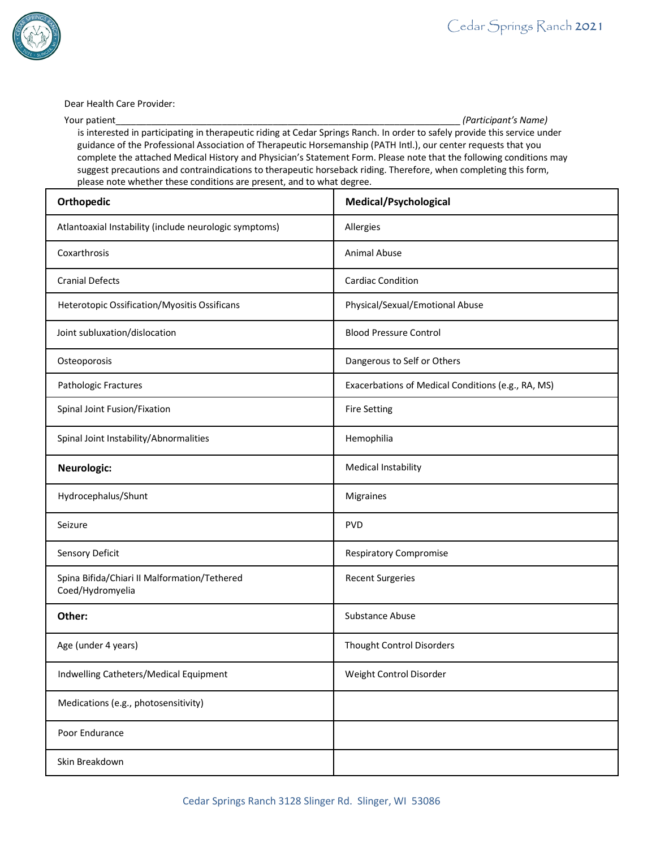

Dear Health Care Provider:

Your patient\_\_\_\_\_\_\_\_\_\_\_\_\_\_\_\_\_\_\_\_\_\_\_\_\_\_\_\_\_\_\_\_\_\_\_\_\_\_\_\_\_\_\_\_\_\_\_\_\_\_\_\_\_\_\_\_\_\_\_\_\_\_\_\_\_\_\_\_ *(Participant's Name)*

is interested in participating in therapeutic riding at Cedar Springs Ranch. In order to safely provide this service under guidance of the Professional Association of Therapeutic Horsemanship (PATH Intl.), our center requests that you complete the attached Medical History and Physician's Statement Form. Please note that the following conditions may suggest precautions and contraindications to therapeutic horseback riding. Therefore, when completing this form, please note whether these conditions are present, and to what degree.

| Orthopedic                                                       | Medical/Psychological                              |
|------------------------------------------------------------------|----------------------------------------------------|
| Atlantoaxial Instability (include neurologic symptoms)           | Allergies                                          |
| Coxarthrosis                                                     | Animal Abuse                                       |
| <b>Cranial Defects</b>                                           | <b>Cardiac Condition</b>                           |
| Heterotopic Ossification/Myositis Ossificans                     | Physical/Sexual/Emotional Abuse                    |
| Joint subluxation/dislocation                                    | <b>Blood Pressure Control</b>                      |
| Osteoporosis                                                     | Dangerous to Self or Others                        |
| Pathologic Fractures                                             | Exacerbations of Medical Conditions (e.g., RA, MS) |
| Spinal Joint Fusion/Fixation                                     | <b>Fire Setting</b>                                |
| Spinal Joint Instability/Abnormalities                           | Hemophilia                                         |
| Neurologic:                                                      | Medical Instability                                |
| Hydrocephalus/Shunt                                              | Migraines                                          |
| Seizure                                                          | <b>PVD</b>                                         |
| Sensory Deficit                                                  | <b>Respiratory Compromise</b>                      |
| Spina Bifida/Chiari II Malformation/Tethered<br>Coed/Hydromyelia | <b>Recent Surgeries</b>                            |
| Other:                                                           | <b>Substance Abuse</b>                             |
| Age (under 4 years)                                              | Thought Control Disorders                          |
| Indwelling Catheters/Medical Equipment                           | Weight Control Disorder                            |
| Medications (e.g., photosensitivity)                             |                                                    |
| Poor Endurance                                                   |                                                    |
| Skin Breakdown                                                   |                                                    |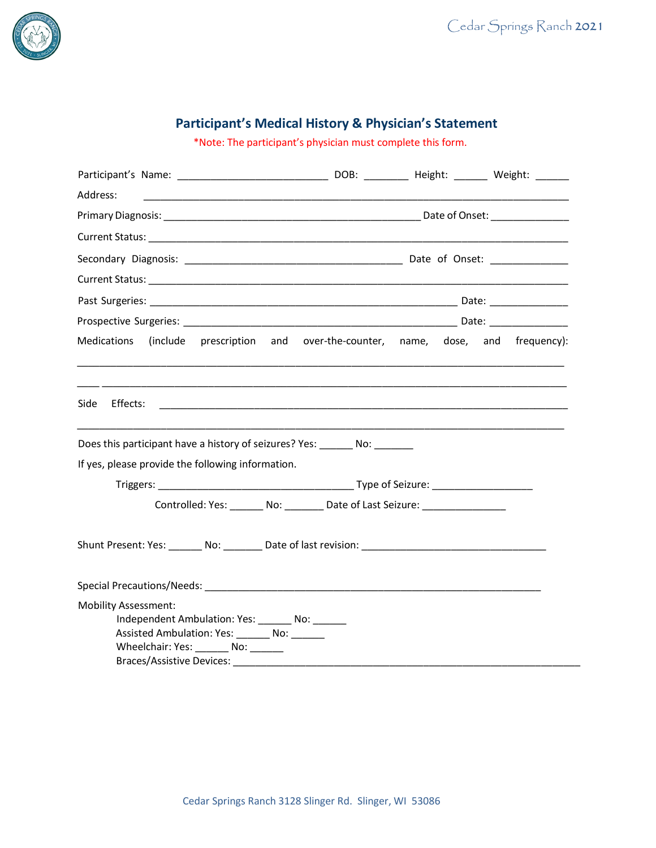

# **Participant's Medical History & Physician's Statement**

\*Note: The participant's physician must complete this form.

| Address:<br><u> 1990 - Jan Barbara (j. 1980)</u>                                                                                                                                                               |  |  |
|----------------------------------------------------------------------------------------------------------------------------------------------------------------------------------------------------------------|--|--|
|                                                                                                                                                                                                                |  |  |
|                                                                                                                                                                                                                |  |  |
|                                                                                                                                                                                                                |  |  |
|                                                                                                                                                                                                                |  |  |
|                                                                                                                                                                                                                |  |  |
|                                                                                                                                                                                                                |  |  |
| (include prescription and over-the-counter, name, dose, and frequency):<br>Medications                                                                                                                         |  |  |
| Does this participant have a history of seizures? Yes: No: No:                                                                                                                                                 |  |  |
| If yes, please provide the following information.                                                                                                                                                              |  |  |
|                                                                                                                                                                                                                |  |  |
| Controlled: Yes: _______ No: ________ Date of Last Seizure: ____________________                                                                                                                               |  |  |
|                                                                                                                                                                                                                |  |  |
| Special Precautions/Needs: New York Special Precautions of the Contract of the Contract of the Contract of the                                                                                                 |  |  |
| <b>Mobility Assessment:</b><br>Independent Ambulation: Yes: _______ No: ______<br>Assisted Ambulation: Yes: ________ No: ______<br>Wheelchair: Yes: ________ No: ______<br>Braces/Assistive Devices: _________ |  |  |